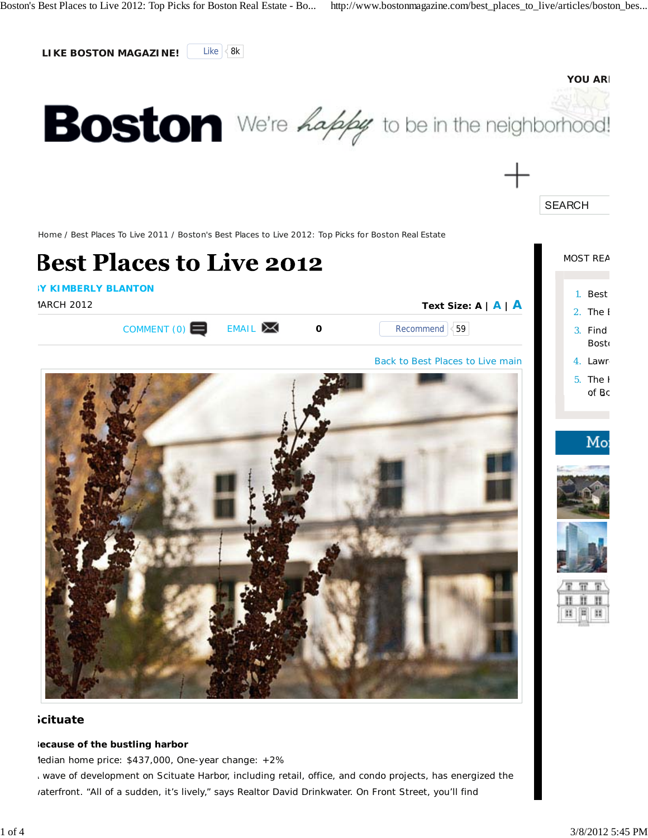

# **Scituate**

#### **Because of the bustling harbor**

*Median home price: \$437,000, One-year change: +2%*

A wave of development on Scituate Harbor, including retail, office, and condo projects, has energized the raterfront. "All of a sudden, it's lively," says Realtor David Drinkwater. On Front Street, you'll find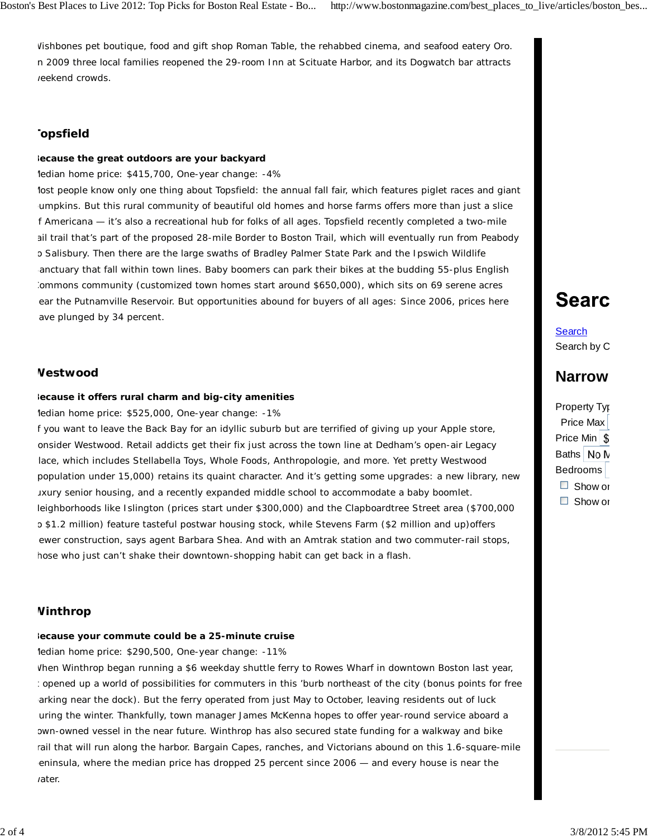Wishbones pet boutique, food and gift shop Roman Table, the rehabbed cinema, and seafood eatery Oro. n 2009 three local families reopened the 29-room Inn at Scituate Harbor, and its Dogwatch bar attracts reekend crowds.

# **Topsfield**

#### **Because the great outdoors are your backyard**

#### *Median home price: \$415,700, One-year change: -4%*

lost people know only one thing about Topsfield: the annual fall fair, which features piglet races and giant pumpkins. But this rural community of beautiful old homes and horse farms offers more than just a slice f Americana — it's also a recreational hub for folks of all ages. Topsfield recently completed a two-mile ail trail that's part of the proposed 28-mile Border to Boston Trail, which will eventually run from Peabody o Salisbury. Then there are the large swaths of Bradley Palmer State Park and the Ipswich Wildlife anctuary that fall within town lines. Baby boomers can park their bikes at the budding 55-plus English Commons community (customized town homes start around \$650,000), which sits on 69 serene acres ear the Putnamville Reservoir. But opportunities abound for buyers of all ages: Since 2006, prices here ave plunged by 34 percent.

## **Westwood**

#### **Because it offers rural charm** *and* **big-city amenities**

#### *Median home price: \$525,000, One-year change: -1%*

f you want to leave the Back Bay for an idyllic suburb but are terrified of giving up your Apple store, onsider Westwood. Retail addicts get their fix just across the town line at Dedham's open-air Legacy lace, which includes Stellabella Toys, Whole Foods, Anthropologie, and more. Yet pretty Westwood population under 15,000) retains its quaint character. And it's getting some upgrades: a new library, new uxury senior housing, and a recently expanded middle school to accommodate a baby boomlet. leighborhoods like Islington (prices start under \$300,000) and the Clapboardtree Street area (\$700,000 o \$1.2 million) feature tasteful postwar housing stock, while Stevens Farm (\$2 million and up)offers ewer construction, says agent Barbara Shea. And with an Amtrak station and two commuter-rail stops, hose who just can't shake their downtown-shopping habit can get back in a flash.

## **Winthrop**

#### **Because your commute could be a 25-minute cruise**

#### *Median home price: \$290,500, One-year change: -11%*

When Winthrop began running a \$6 weekday shuttle ferry to Rowes Wharf in downtown Boston last year, : opened up a world of possibilities for commuters in this 'burb northeast of the city (bonus points for free arking near the dock). But the ferry operated from just May to October, leaving residents out of luck uring the winter. Thankfully, town manager James McKenna hopes to offer year-round service aboard a own-owned vessel in the near future. Winthrop has also secured state funding for a walkway and bike rail that will run along the harbor. Bargain Capes, ranches, and Victorians abound on this 1.6-square-mile eninsula, where the median price has dropped 25 percent since 2006 - and every house is near the *r*ater.

# **Searc**

**Search** Search by C

# **Narrow**

Property Typ Price Max Price Min \$ Baths No N Bedrooms  $\Box$  Show or □ Show or